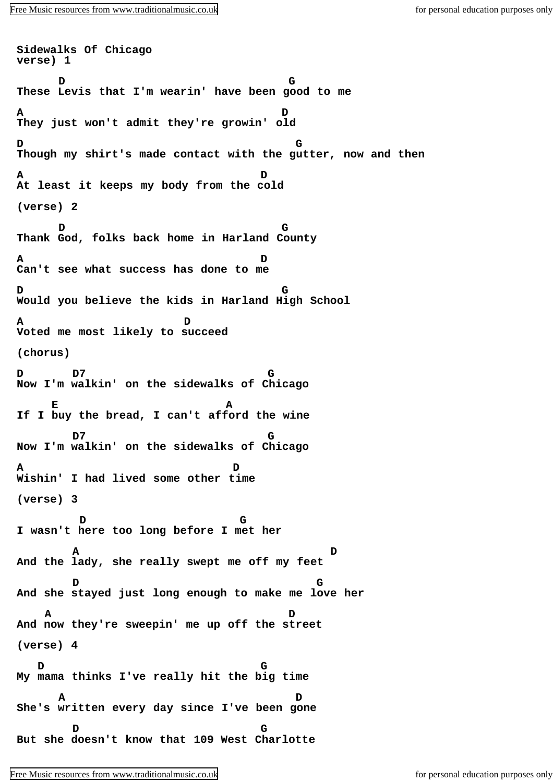**Sidewalks Of Chicago verse) 1 D G These Levis that I'm wearin' have been good to me A D They just won't admit they're growin' old D G Though my shirt's made contact with the gutter, now and then A D At least it keeps my body from the cold (verse) 2 D G Thank God, folks back home in Harland County A D Can't see what success has done to me D G Would you believe the kids in Harland High School A D Voted me most likely to succeed (chorus) D D7 G Now I'm walkin' on the sidewalks of Chicago E E A If I buy the bread, I can't afford the wine D7 G Now I'm walkin' on the sidewalks of Chicago A D Wishin' I had lived some other time (verse) 3 D G I wasn't here too long before I met her A D And the lady, she really swept me off my feet D G And she stayed just long enough to make me love her A D And now they're sweepin' me up off the street (verse) 4 D G My mama thinks I've really hit the big time A D She's written every day since I've been gone D G But she doesn't know that 109 West Charlotte**